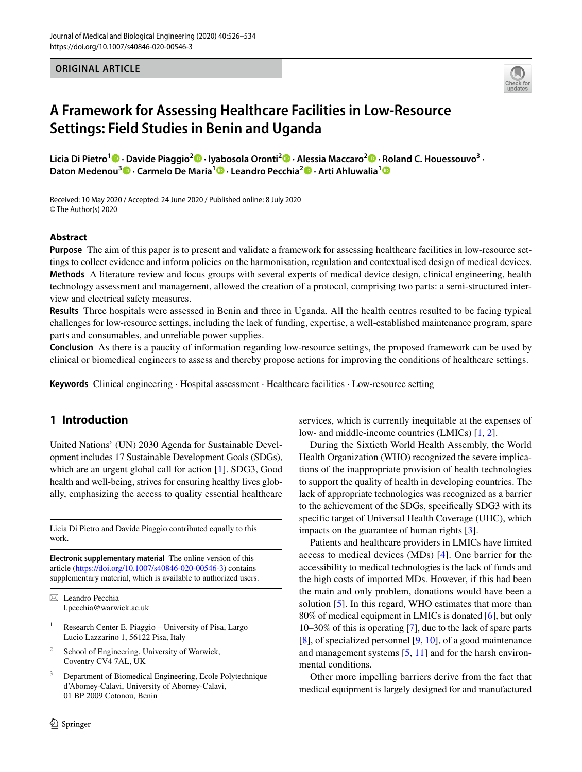**ORIGINAL ARTICLE**



# **A Framework for Assessing Healthcare Facilities in Low‑Resource Settings: Field Studies in Benin and Uganda**

**Licia Di Pietro<sup>1</sup>  [·](http://orcid.org/0000-0002-1525-4017) Davide Piaggio<sup>2</sup>  [·](http://orcid.org/0000-0001-5408-9360) Iyabosola Oronti[2](http://orcid.org/0000-0001-5324-6408) · Alessia Maccaro2 · Roland C. Houessouvo<sup>3</sup> · Daton Medenou3  [·](http://orcid.org/0000-0003-1312-2632) Carmelo De Maria1  [·](http://orcid.org/0000-0002-1368-3571) Leandro Pecchia2 · Arti Ahluwalia[1](http://orcid.org/0000-0001-5370-6750)**

Received: 10 May 2020 / Accepted: 24 June 2020 / Published online: 8 July 2020 © The Author(s) 2020

### **Abstract**

**Purpose** The aim of this paper is to present and validate a framework for assessing healthcare facilities in low-resource settings to collect evidence and inform policies on the harmonisation, regulation and contextualised design of medical devices. **Methods** A literature review and focus groups with several experts of medical device design, clinical engineering, health technology assessment and management, allowed the creation of a protocol, comprising two parts: a semi-structured interview and electrical safety measures.

**Results** Three hospitals were assessed in Benin and three in Uganda. All the health centres resulted to be facing typical challenges for low-resource settings, including the lack of funding, expertise, a well-established maintenance program, spare parts and consumables, and unreliable power supplies.

**Conclusion** As there is a paucity of information regarding low-resource settings, the proposed framework can be used by clinical or biomedical engineers to assess and thereby propose actions for improving the conditions of healthcare settings.

**Keywords** Clinical engineering · Hospital assessment · Healthcare facilities · Low-resource setting

# **1 Introduction**

United Nations' (UN) 2030 Agenda for Sustainable Development includes 17 Sustainable Development Goals (SDGs), which are an urgent global call for action [[1\]](#page-7-0). SDG3, Good health and well-being, strives for ensuring healthy lives globally, emphasizing the access to quality essential healthcare

Licia Di Pietro and Davide Piaggio contributed equally to this work.

**Electronic supplementary material** The online version of this article [\(https://doi.org/10.1007/s40846-020-00546-3\)](https://doi.org/10.1007/s40846-020-00546-3) contains supplementary material, which is available to authorized users.

 $\boxtimes$  Leandro Pecchia l.pecchia@warwick.ac.uk

- Research Center E. Piaggio University of Pisa, Largo Lucio Lazzarino 1, 56122 Pisa, Italy
- <sup>2</sup> School of Engineering, University of Warwick, Coventry CV4 7AL, UK
- <sup>3</sup> Department of Biomedical Engineering, Ecole Polytechnique d'Abomey-Calavi, University of Abomey-Calavi, 01 BP 2009 Cotonou, Benin

services, which is currently inequitable at the expenses of low- and middle-income countries (LMICs) [[1,](#page-7-0) [2\]](#page-7-1).

During the Sixtieth World Health Assembly, the World Health Organization (WHO) recognized the severe implications of the inappropriate provision of health technologies to support the quality of health in developing countries. The lack of appropriate technologies was recognized as a barrier to the achievement of the SDGs, specifcally SDG3 with its specifc target of Universal Health Coverage (UHC), which impacts on the guarantee of human rights [[3\]](#page-7-2).

Patients and healthcare providers in LMICs have limited access to medical devices (MDs) [[4\]](#page-7-3). One barrier for the accessibility to medical technologies is the lack of funds and the high costs of imported MDs. However, if this had been the main and only problem, donations would have been a solution [[5\]](#page-7-4). In this regard, WHO estimates that more than 80% of medical equipment in LMICs is donated [\[6](#page-7-5)], but only 10–30% of this is operating [\[7](#page-7-6)], due to the lack of spare parts [[8\]](#page-7-7), of specialized personnel [\[9](#page-7-8), [10](#page-7-9)], of a good maintenance and management systems [[5,](#page-7-4) [11\]](#page-7-10) and for the harsh environmental conditions.

Other more impelling barriers derive from the fact that medical equipment is largely designed for and manufactured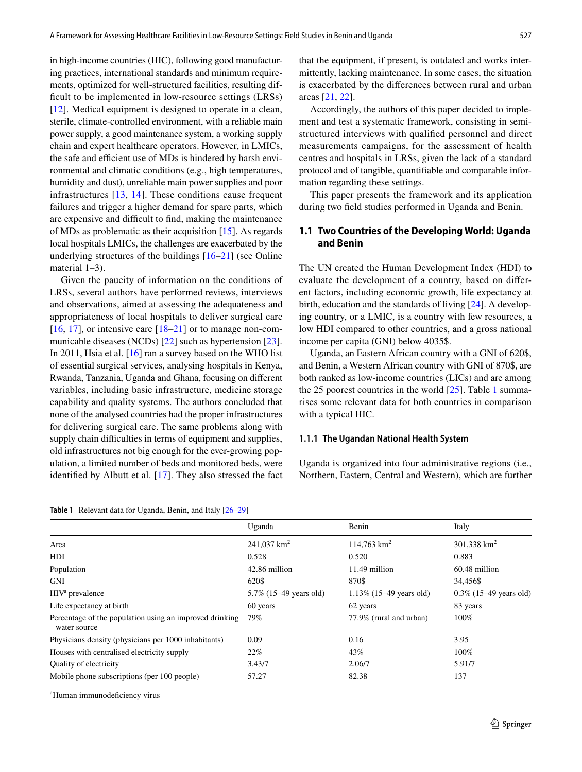in high-income countries (HIC), following good manufacturing practices, international standards and minimum requirements, optimized for well-structured facilities, resulting difficult to be implemented in low-resource settings (LRSs) [\[12\]](#page-7-11). Medical equipment is designed to operate in a clean, sterile, climate-controlled environment, with a reliable main power supply, a good maintenance system, a working supply chain and expert healthcare operators. However, in LMICs, the safe and efficient use of MDs is hindered by harsh environmental and climatic conditions (e.g., high temperatures, humidity and dust), unreliable main power supplies and poor infrastructures [[13,](#page-7-12) [14\]](#page-7-13). These conditions cause frequent failures and trigger a higher demand for spare parts, which are expensive and difficult to find, making the maintenance of MDs as problematic as their acquisition [[15\]](#page-7-14). As regards local hospitals LMICs, the challenges are exacerbated by the underlying structures of the buildings [[16–](#page-7-15)[21](#page-7-16)] (see Online material 1–3).

Given the paucity of information on the conditions of LRSs, several authors have performed reviews, interviews and observations, aimed at assessing the adequateness and appropriateness of local hospitals to deliver surgical care  $[16, 17]$  $[16, 17]$  $[16, 17]$  $[16, 17]$ , or intensive care  $[18–21]$  $[18–21]$  or to manage non-communicable diseases (NCDs) [\[22](#page-7-19)] such as hypertension [\[23](#page-7-20)]. In 2011, Hsia et al. [\[16](#page-7-15)] ran a survey based on the WHO list of essential surgical services, analysing hospitals in Kenya, Rwanda, Tanzania, Uganda and Ghana, focusing on diferent variables, including basic infrastructure, medicine storage capability and quality systems. The authors concluded that none of the analysed countries had the proper infrastructures for delivering surgical care. The same problems along with supply chain difficulties in terms of equipment and supplies, old infrastructures not big enough for the ever-growing population, a limited number of beds and monitored beds, were identifed by Albutt et al. [\[17](#page-7-17)]. They also stressed the fact

<span id="page-1-0"></span>**Table 1** Relevant data for Uganda, Benin, and Italy [[26](#page-8-2)[–29\]](#page-8-3)

that the equipment, if present, is outdated and works intermittently, lacking maintenance. In some cases, the situation is exacerbated by the diferences between rural and urban areas [[21,](#page-7-16) [22\]](#page-7-19).

Accordingly, the authors of this paper decided to implement and test a systematic framework, consisting in semistructured interviews with qualifed personnel and direct measurements campaigns, for the assessment of health centres and hospitals in LRSs, given the lack of a standard protocol and of tangible, quantifable and comparable information regarding these settings.

This paper presents the framework and its application during two feld studies performed in Uganda and Benin.

## **1.1 Two Countries of the Developing World: Uganda and Benin**

The UN created the Human Development Index (HDI) to evaluate the development of a country, based on diferent factors, including economic growth, life expectancy at birth, education and the standards of living [[24\]](#page-8-0). A developing country, or a LMIC, is a country with few resources, a low HDI compared to other countries, and a gross national income per capita (GNI) below 4035\$.

Uganda, an Eastern African country with a GNI of 620\$, and Benin, a Western African country with GNI of 870\$, are both ranked as low-income countries (LICs) and are among the 25 poorest countries in the world  $[25]$ . Table [1](#page-1-0) summarises some relevant data for both countries in comparison with a typical HIC.

#### **1.1.1 The Ugandan National Health System**

Uganda is organized into four administrative regions (i.e., Northern, Eastern, Central and Western), which are further

|                                                                         | Uganda                    | Benin                      | Italy                     |
|-------------------------------------------------------------------------|---------------------------|----------------------------|---------------------------|
| Area                                                                    | 241,037 $km^2$            | $114,763$ km <sup>2</sup>  | 301,338 $km^2$            |
| HDI                                                                     | 0.528                     | 0.520                      | 0.883                     |
| Population                                                              | 42.86 million             | 11.49 million              | 60.48 million             |
| <b>GNI</b>                                                              | 620\$                     | 870\$                      | 34,456\$                  |
| HIV <sup>a</sup> prevalence                                             | $5.7\%$ (15–49 years old) | $1.13\%$ (15–49 years old) | $0.3\%$ (15–49 years old) |
| Life expectancy at birth                                                | 60 years                  | 62 years                   | 83 years                  |
| Percentage of the population using an improved drinking<br>water source | 79%                       | 77.9% (rural and urban)    | 100%                      |
| Physicians density (physicians per 1000 inhabitants)                    | 0.09                      | 0.16                       | 3.95                      |
| Houses with centralised electricity supply                              | 22%                       | 43%                        | 100%                      |
| <b>Ouality of electricity</b>                                           | 3.43/7                    | 2.06/7                     | 5.91/7                    |
| Mobile phone subscriptions (per 100 people)                             | 57.27                     | 82.38                      | 137                       |
|                                                                         |                           |                            |                           |

a Human immunodefciency virus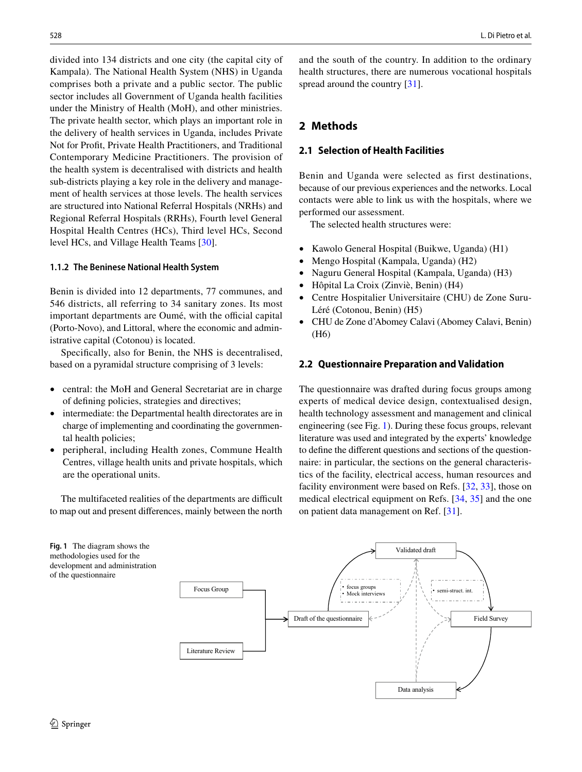divided into 134 districts and one city (the capital city of Kampala). The National Health System (NHS) in Uganda comprises both a private and a public sector. The public sector includes all Government of Uganda health facilities under the Ministry of Health (MoH), and other ministries. The private health sector, which plays an important role in the delivery of health services in Uganda, includes Private Not for Proft, Private Health Practitioners, and Traditional Contemporary Medicine Practitioners. The provision of the health system is decentralised with districts and health sub-districts playing a key role in the delivery and management of health services at those levels. The health services are structured into National Referral Hospitals (NRHs) and Regional Referral Hospitals (RRHs), Fourth level General Hospital Health Centres (HCs), Third level HCs, Second level HCs, and Village Health Teams [\[30](#page-8-4)].

### **1.1.2 The Beninese National Health System**

Benin is divided into 12 departments, 77 communes, and 546 districts, all referring to 34 sanitary zones. Its most important departments are Oumé, with the official capital (Porto-Novo), and Littoral, where the economic and administrative capital (Cotonou) is located.

Specifcally, also for Benin, the NHS is decentralised, based on a pyramidal structure comprising of 3 levels:

- central: the MoH and General Secretariat are in charge of defning policies, strategies and directives;
- intermediate: the Departmental health directorates are in charge of implementing and coordinating the governmental health policies;
- peripheral, including Health zones, Commune Health Centres, village health units and private hospitals, which are the operational units.

The multifaceted realities of the departments are difficult to map out and present diferences, mainly between the north

<span id="page-2-0"></span>

and the south of the country. In addition to the ordinary health structures, there are numerous vocational hospitals spread around the country [\[31](#page-8-5)].

# **2 Methods**

### **2.1 Selection of Health Facilities**

Benin and Uganda were selected as first destinations, because of our previous experiences and the networks. Local contacts were able to link us with the hospitals, where we performed our assessment.

The selected health structures were:

- Kawolo General Hospital (Buikwe, Uganda) (H1)
- Mengo Hospital (Kampala, Uganda) (H2)
- Naguru General Hospital (Kampala, Uganda) (H3)
- Hôpital La Croix (Zinviè, Benin) (H4)
- Centre Hospitalier Universitaire (CHU) de Zone Suru-Léré (Cotonou, Benin) (H5)
- CHU de Zone d'Abomey Calavi (Abomey Calavi, Benin) (H6)

### **2.2 Questionnaire Preparation and Validation**

The questionnaire was drafted during focus groups among experts of medical device design, contextualised design, health technology assessment and management and clinical engineering (see Fig. [1](#page-2-0)). During these focus groups, relevant literature was used and integrated by the experts' knowledge to defne the diferent questions and sections of the questionnaire: in particular, the sections on the general characteristics of the facility, electrical access, human resources and facility environment were based on Refs. [[32,](#page-8-6) [33\]](#page-8-7), those on medical electrical equipment on Refs. [[34,](#page-8-8) [35](#page-8-9)] and the one on patient data management on Ref. [\[31](#page-8-5)].

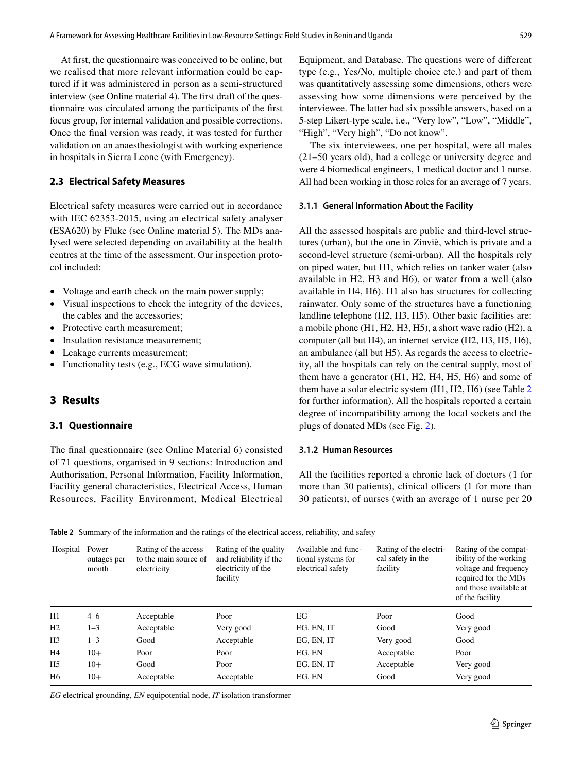At frst, the questionnaire was conceived to be online, but we realised that more relevant information could be captured if it was administered in person as a semi-structured interview (see Online material 4). The frst draft of the questionnaire was circulated among the participants of the frst focus group, for internal validation and possible corrections. Once the fnal version was ready, it was tested for further validation on an anaesthesiologist with working experience in hospitals in Sierra Leone (with Emergency).

# **2.3 Electrical Safety Measures**

Electrical safety measures were carried out in accordance with IEC 62353-2015, using an electrical safety analyser (ESA620) by Fluke (see Online material 5). The MDs analysed were selected depending on availability at the health centres at the time of the assessment. Our inspection protocol included:

- Voltage and earth check on the main power supply;
- Visual inspections to check the integrity of the devices, the cables and the accessories;
- Protective earth measurement;
- Insulation resistance measurement;
- Leakage currents measurement;
- Functionality tests (e.g., ECG wave simulation).

# **3 Results**

# **3.1 Questionnaire**

The fnal questionnaire (see Online Material 6) consisted of 71 questions, organised in 9 sections: Introduction and Authorisation, Personal Information, Facility Information, Facility general characteristics, Electrical Access, Human Resources, Facility Environment, Medical Electrical Equipment, and Database. The questions were of diferent type (e.g., Yes/No, multiple choice etc.) and part of them was quantitatively assessing some dimensions, others were assessing how some dimensions were perceived by the interviewee. The latter had six possible answers, based on a 5-step Likert-type scale, i.e., "Very low", "Low", "Middle", "High", "Very high", "Do not know".

The six interviewees, one per hospital, were all males (21–50 years old), had a college or university degree and were 4 biomedical engineers, 1 medical doctor and 1 nurse. All had been working in those roles for an average of 7 years.

### **3.1.1 General Information About the Facility**

All the assessed hospitals are public and third-level structures (urban), but the one in Zinviè, which is private and a second-level structure (semi-urban). All the hospitals rely on piped water, but H1, which relies on tanker water (also available in H2, H3 and H6), or water from a well (also available in H4, H6). H1 also has structures for collecting rainwater. Only some of the structures have a functioning landline telephone (H2, H3, H5). Other basic facilities are: a mobile phone (H1, H2, H3, H5), a short wave radio (H2), a computer (all but H4), an internet service (H2, H3, H5, H6), an ambulance (all but H5). As regards the access to electricity, all the hospitals can rely on the central supply, most of them have a generator (H1, H2, H4, H5, H6) and some of them have a solar electric system (H1, H2, H6) (see Table [2](#page-3-0) for further information). All the hospitals reported a certain degree of incompatibility among the local sockets and the plugs of donated MDs (see Fig. [2\)](#page-4-0).

### **3.1.2 Human Resources**

All the facilities reported a chronic lack of doctors (1 for more than 30 patients), clinical officers (1 for more than 30 patients), of nurses (with an average of 1 nurse per 20

<span id="page-3-0"></span>**Table 2** Summary of the information and the ratings of the electrical access, reliability, and safety

| Hospital       | Power<br>outages per<br>month | Rating of the access<br>to the main source of<br>electricity | Rating of the quality<br>and reliability if the<br>electricity of the<br>facility | Available and func-<br>tional systems for<br>electrical safety | Rating of the electri-<br>cal safety in the<br>facility | Rating of the compat-<br>ibility of the working<br>voltage and frequency<br>required for the MDs<br>and those available at<br>of the facility |
|----------------|-------------------------------|--------------------------------------------------------------|-----------------------------------------------------------------------------------|----------------------------------------------------------------|---------------------------------------------------------|-----------------------------------------------------------------------------------------------------------------------------------------------|
| H1             | $4 - 6$                       | Acceptable                                                   | Poor                                                                              | EG                                                             | Poor                                                    | Good                                                                                                                                          |
| H <sub>2</sub> | $1 - 3$                       | Acceptable                                                   | Very good                                                                         | EG, EN, IT                                                     | Good                                                    | Very good                                                                                                                                     |
| H <sub>3</sub> | $1 - 3$                       | Good                                                         | Acceptable                                                                        | EG. EN. IT                                                     | Very good                                               | Good                                                                                                                                          |
| H4             | $10+$                         | Poor                                                         | Poor                                                                              | EG. EN                                                         | Acceptable                                              | Poor                                                                                                                                          |
| H <sub>5</sub> | $10+$                         | Good                                                         | Poor                                                                              | EG, EN, IT                                                     | Acceptable                                              | Very good                                                                                                                                     |
| H <sub>6</sub> | $10+$                         | Acceptable                                                   | Acceptable                                                                        | EG, EN                                                         | Good                                                    | Very good                                                                                                                                     |

*EG* electrical grounding, *EN* equipotential node, *IT* isolation transformer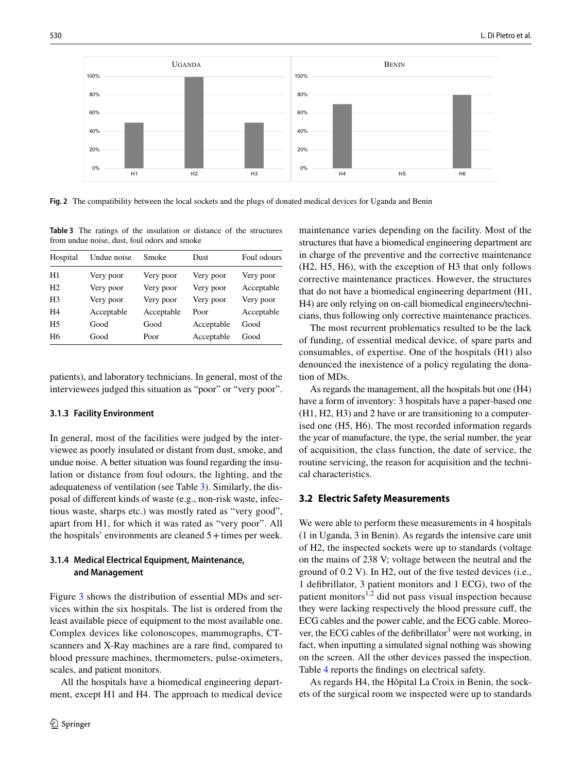

<span id="page-4-0"></span>**Fig. 2** The compatibility between the local sockets and the plugs of donated medical devices for Uganda and Benin

<span id="page-4-1"></span>**Table 3** The ratings of the insulation or distance of the structures from undue noise, dust, foul odors and smoke

| Hospital       | Undue noise | Smoke      | Dust       | Foul odours |
|----------------|-------------|------------|------------|-------------|
| H1             | Very poor   | Very poor  | Very poor  | Very poor   |
| H <sub>2</sub> | Very poor   | Very poor  | Very poor  | Acceptable  |
| H <sub>3</sub> | Very poor   | Very poor  | Very poor  | Very poor   |
| H4             | Acceptable  | Acceptable | Poor       | Acceptable  |
| H <sub>5</sub> | Good        | Good       | Acceptable | Good        |
| H6             | Good        | Poor       | Acceptable | Good        |

patients), and laboratory technicians. In general, most of the interviewees judged this situation as "poor" or "very poor".

### **3.1.3 Facility Environment**

In general, most of the facilities were judged by the interviewee as poorly insulated or distant from dust, smoke, and undue noise. A better situation was found regarding the insulation or distance from foul odours, the lighting, and the adequateness of ventilation (see Table [3\)](#page-4-1). Similarly, the disposal of diferent kinds of waste (e.g., non-risk waste, infectious waste, sharps etc.) was mostly rated as "very good", apart from H1, for which it was rated as "very poor". All the hospitals' environments are cleaned 5+times per week.

### **3.1.4 Medical Electrical Equipment, Maintenance, and Management**

Figure [3](#page-5-0) shows the distribution of essential MDs and services within the six hospitals. The list is ordered from the least available piece of equipment to the most available one. Complex devices like colonoscopes, mammographs, CTscanners and X-Ray machines are a rare fnd, compared to blood pressure machines, thermometers, pulse-oximeters, scales, and patient monitors.

All the hospitals have a biomedical engineering department, except H1 and H4. The approach to medical device maintenance varies depending on the facility. Most of the structures that have a biomedical engineering department are in charge of the preventive and the corrective maintenance (H2, H5, H6), with the exception of H3 that only follows corrective maintenance practices. However, the structures that do not have a biomedical engineering department (H1, H4) are only relying on on-call biomedical engineers/technicians, thus following only corrective maintenance practices.

The most recurrent problematics resulted to be the lack of funding, of essential medical device, of spare parts and consumables, of expertise. One of the hospitals (H1) also denounced the inexistence of a policy regulating the donation of MDs.

As regards the management, all the hospitals but one (H4) have a form of inventory: 3 hospitals have a paper-based one (H1, H2, H3) and 2 have or are transitioning to a computerised one (H5, H6). The most recorded information regards the year of manufacture, the type, the serial number, the year of acquisition, the class function, the date of service, the routine servicing, the reason for acquisition and the technical characteristics.

### **3.2 Electric Safety Measurements**

We were able to perform these measurements in 4 hospitals (1 in Uganda, 3 in Benin). As regards the intensive care unit of H2, the inspected sockets were up to standards (voltage on the mains of 238 V; voltage between the neutral and the ground of 0.2 V). In H2, out of the fve tested devices (i.e., 1 defbrillator, 3 patient monitors and 1 ECG), two of the patient monitors $1,2$  did not pass visual inspection because they were lacking respectively the blood pressure cuf, the ECG cables and the power cable, and the ECG cable. Moreover, the ECG cables of the defibrillator<sup>3</sup> were not working, in fact, when inputting a simulated signal nothing was showing on the screen. All the other devices passed the inspection. Table [4](#page-5-1) reports the fndings on electrical safety.

As regards H4, the Hôpital La Croix in Benin, the sockets of the surgical room we inspected were up to standards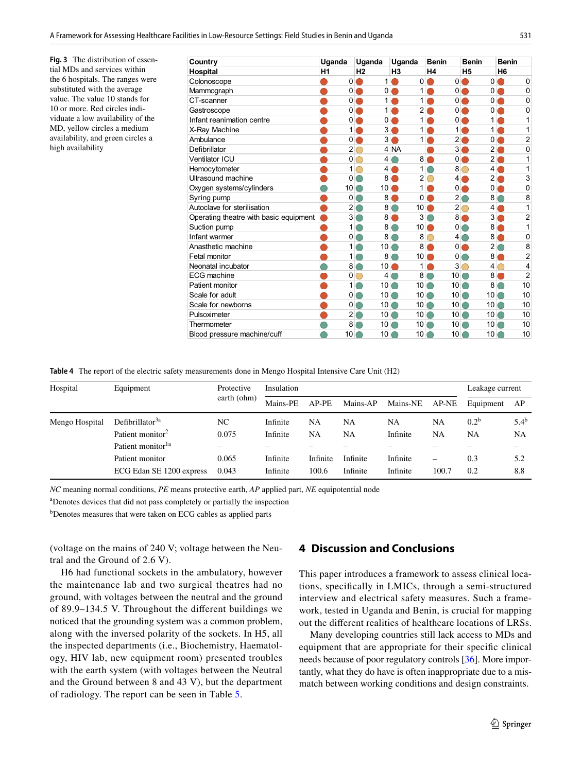<span id="page-5-0"></span>**Fig. 3** The distribution of essential MDs and services within the 6 hospitals. The ranges were substituted with the average value. The value 10 stands for 10 or more. Red circles individuate a low availability of the MD, yellow circles a medium availability, and green circles a high availability

| Country                                |           | Uganda         |                               | Uganda          |                          | Uganda          |                | <b>Benin</b>    |                   | <b>Benin</b>    | <b>Benin</b>             |                |
|----------------------------------------|-----------|----------------|-------------------------------|-----------------|--------------------------|-----------------|----------------|-----------------|-------------------|-----------------|--------------------------|----------------|
| <b>Hospital</b>                        | H1        |                | H <sub>2</sub>                |                 | H <sub>3</sub>           |                 | H <sub>4</sub> |                 | H <sub>5</sub>    |                 | H <sub>6</sub>           |                |
| Colonoscope                            |           |                | $0$ $\bullet$                 | 1               | n                        | $\Omega$        | D              |                 | $0$ $\bullet$     | $\Omega$        | $\bullet$                | $\Omega$       |
| Mammograph                             |           |                | $0$ $\bullet$                 | 0               | $\bullet$                | 1               |                |                 | $0$ $\bullet$     | $\Omega$        | C                        | $\mathbf 0$    |
| CT-scanner                             |           |                | $0$ $\bullet$                 | 1               | $\overline{\phantom{a}}$ | 1               | D              |                 | $0$ $\bullet$     | $\overline{0}$  | O                        | 0              |
| Gastroscope                            |           |                | $0$ $\bullet$                 | $\mathbf{1}$    | $\subset$                | $\overline{2}$  | D              |                 | $0$ $\bullet$     | $\overline{0}$  | $\bullet$                | 0              |
| Infant reanimation centre              |           |                | $0$ $\bullet$                 | 0               | ∩                        | 1               |                |                 | $0$ $\bullet$     | 1 <sup>1</sup>  | $\qquad \qquad \Box$     | 1              |
| X-Ray Machine                          |           | 1 (            |                               | 3               |                          | 1               |                | $\mathbf{1}$    |                   | 1               | Œ                        | 1              |
| Ambulance                              |           |                | $0\bigcirc$                   | 3               | ×,                       | 1               |                | 2 <sub>1</sub>  |                   | 0               |                          | $\overline{2}$ |
| Defibrillator                          |           | 2              | $\bigcirc$                    |                 | 4 NA                     |                 |                | 31              |                   | $\overline{2}$  | O                        | $\mathbf{0}$   |
| Ventilator ICU                         |           |                | $0\circ$                      | 4               | œ                        | 8 <sub>1</sub>  | ◆              |                 | $\circ$ $\bullet$ | $\overline{2}$  |                          | 1              |
| Hemocytometer                          |           | 1              |                               | 4               |                          | 1               |                |                 | $8^\circ$         | 4               |                          | 1              |
| Ultrasound machine                     |           |                | $\overline{0}$ $\overline{0}$ | 8               | ۰                        | $\overline{2}$  | O              | 4(              |                   | $\mathsf{2}$    | C                        | 3              |
| Oxygen systems/cylinders               | ◠         | $10$ $\odot$   |                               | 10 <sup>1</sup> | $\hspace{0.1cm} \bullet$ | 1               | n              | 0 <sub>0</sub>  |                   | 0               | $\hspace{0.1cm} \bullet$ | 0              |
| Syring pump                            |           | $\mathbf 0$    | $\bigcirc$                    | 8               | ∩                        | 0               | ∩              | $\overline{2}$  |                   | 8               |                          | 8              |
| Autoclave for sterilisation            |           | $\overline{2}$ |                               | 8               |                          | 10              |                |                 | $2^{\circ}$       | 4               |                          | 1              |
| Operating theatre with basic equipment | $\bullet$ | 3              |                               | 8               | n                        | 3               |                | 8 <sub>l</sub>  | D                 |                 | $3\bullet$               | $\overline{2}$ |
| Suction pump                           | O         | 1              |                               | 8               |                          | 10 <sup>1</sup> |                | $\Omega$        | ◯                 | 8               |                          | 1              |
| Infant warmer                          |           | $\overline{0}$ |                               | 8               |                          | 8               | ∩              | $\overline{4}$  |                   | 8               |                          | 0              |
| Anasthetic machine                     |           | $\mathbf{1}$   |                               | 10              | $\subset$                | 8               | ∩              |                 | $0$ $\bullet$     | $\overline{2}$  | O                        | 8              |
| Fetal monitor                          |           | $\mathbf{1}$   |                               | 8               |                          | 10 <sup>1</sup> | $\bullet$      | $\overline{0}$  | $\bigcirc$        | 8               |                          | $\overline{2}$ |
| Neonatal incubator                     |           | 8              |                               | 10              | n                        | 1               |                | 3               | ∩                 | 4               | ∩                        | 4              |
| ECG machine                            |           |                | $\overline{0}$                | 4               |                          | 8               |                | 10 <sup>1</sup> |                   | 8               |                          | $\overline{2}$ |
| Patient monitor                        |           | 1              |                               | 10              | ∩                        | 10 <sup>1</sup> |                | 10 <sup>1</sup> |                   | 8               |                          | 10             |
| Scale for adult                        |           | 0              |                               | 10              | O                        | 10              |                | 10 <sup>1</sup> |                   | 10 <sup>1</sup> |                          | 10             |
| Scale for newborns                     |           | 0              |                               | 10              | ◯                        | 10              | ⌒              | 10              | ۰                 | 10              |                          | 10             |
| Pulsoximeter                           |           | $\overline{2}$ |                               | 10              | 0                        | 10              | $\bigcirc$     | 10              |                   | 10 <sup>1</sup> |                          | 10             |
| Thermometer                            |           | 8              |                               | 10              | $\subset$                | 10 <sup>1</sup> |                | 10              |                   | 10              |                          | 10             |
| Blood pressure machine/cuff            |           | 10             |                               | 10              |                          | 10 <sup>1</sup> |                | 10              |                   | 10              |                          | 10             |

<span id="page-5-1"></span>**Table 4** The report of the electric safety measurements done in Mengo Hospital Intensive Care Unit (H2)

| Hospital       | Equipment                     | Protective<br>earth (ohm) | Insulation | Leakage current |           |          |       |                  |           |
|----------------|-------------------------------|---------------------------|------------|-----------------|-----------|----------|-------|------------------|-----------|
|                |                               |                           | Mains-PE   | AP-PE           | Mains-AP  | Mains-NE | AP-NE | Equipment        | AP        |
| Mengo Hospital | Defibrillator <sup>3a</sup>   | NC                        | Infinite   | NA              | <b>NA</b> | NA       | NA    | 0.2 <sup>b</sup> | $5.4^{b}$ |
|                | Patient monitor <sup>2</sup>  | 0.075                     | Infinite   | NA              | NA        | Infinite | NA    | <b>NA</b>        | NA        |
|                | Patient monitor <sup>1a</sup> |                           |            |                 |           |          |       |                  |           |
|                | Patient monitor               | 0.065                     | Infinite   | Infinite        | Infinite  | Infinite | -     | 0.3              | 5.2       |
|                | ECG Edan SE 1200 express      | 0.043                     | Infinite   | 100.6           | Infinite  | Infinite | 100.7 | 0.2              | 8.8       |

*NC* meaning normal conditions, *PE* means protective earth, *AP* applied part, *NE* equipotential node

a Denotes devices that did not pass completely or partially the inspection

b Denotes measures that were taken on ECG cables as applied parts

(voltage on the mains of 240 V; voltage between the Neutral and the Ground of 2.6 V).

H6 had functional sockets in the ambulatory, however the maintenance lab and two surgical theatres had no ground, with voltages between the neutral and the ground of 89.9–134.5 V. Throughout the diferent buildings we noticed that the grounding system was a common problem, along with the inversed polarity of the sockets. In H5, all the inspected departments (i.e., Biochemistry, Haematology, HIV lab, new equipment room) presented troubles with the earth system (with voltages between the Neutral and the Ground between 8 and 43 V), but the department of radiology. The report can be seen in Table [5.](#page-6-0)

# **4 Discussion and Conclusions**

This paper introduces a framework to assess clinical locations, specifcally in LMICs, through a semi-structured interview and electrical safety measures. Such a framework, tested in Uganda and Benin, is crucial for mapping out the diferent realities of healthcare locations of LRSs.

Many developing countries still lack access to MDs and equipment that are appropriate for their specifc clinical needs because of poor regulatory controls [[36\]](#page-8-10). More importantly, what they do have is often inappropriate due to a mismatch between working conditions and design constraints.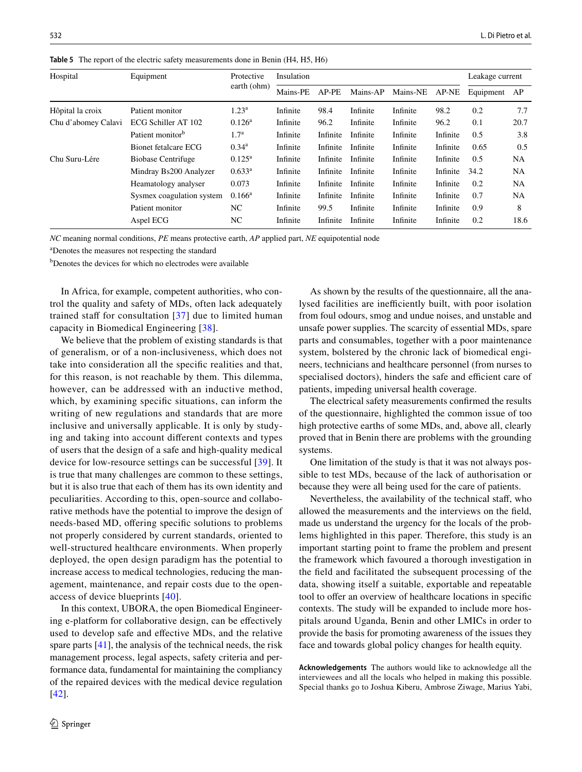| Hospital            | Equipment                    | Protective<br>earth (ohm) | Insulation | Leakage current |          |          |          |           |           |
|---------------------|------------------------------|---------------------------|------------|-----------------|----------|----------|----------|-----------|-----------|
|                     |                              |                           | Mains-PE   | AP-PE           | Mains-AP | Mains-NE | AP-NE    | Equipment | AP        |
| Hôpital la croix    | Patient monitor              | $1.23^{\rm a}$            | Infinite   | 98.4            | Infinite | Infinite | 98.2     | 0.2       | 7.7       |
| Chu d'abomey Calavi | ECG Schiller AT 102          | $0.126^{\rm a}$           | Infinite   | 96.2            | Infinite | Infinite | 96.2     | 0.1       | 20.7      |
|                     | Patient monitor <sup>b</sup> | 1.7 <sup>a</sup>          | Infinite   | Infinite        | Infinite | Infinite | Infinite | 0.5       | 3.8       |
|                     | Bionet fetalcare ECG         | $0.34^{\rm a}$            | Infinite   | Infinite        | Infinite | Infinite | Infinite | 0.65      | 0.5       |
| Chu Suru-Lére       | Biobase Centrifuge           | $0.125^{\rm a}$           | Infinite   | Infinite        | Infinite | Infinite | Infinite | 0.5       | NA        |
|                     | Mindray Bs200 Analyzer       | $0.633^a$                 | Infinite   | Infinite        | Infinite | Infinite | Infinite | 34.2      | <b>NA</b> |
|                     | Heamatology analyser         | 0.073                     | Infinite   | Infinite        | Infinite | Infinite | Infinite | 0.2       | <b>NA</b> |
|                     | Sysmex coagulation system    | $0.166^{\rm a}$           | Infinite   | Infinite        | Infinite | Infinite | Infinite | 0.7       | <b>NA</b> |
|                     | Patient monitor              | NC                        | Infinite   | 99.5            | Infinite | Infinite | Infinite | 0.9       | 8         |
|                     | Aspel ECG                    | NC                        | Infinite   | Infinite        | Infinite | Infinite | Infinite | 0.2       | 18.6      |

<span id="page-6-0"></span>**Table 5** The report of the electric safety measurements done in Benin (H4, H5, H6)

*NC* meaning normal conditions, *PE* means protective earth, *AP* applied part, *NE* equipotential node

a Denotes the measures not respecting the standard

<sup>b</sup>Denotes the devices for which no electrodes were available

In Africa, for example, competent authorities, who control the quality and safety of MDs, often lack adequately trained staff for consultation  $[37]$  $[37]$  due to limited human capacity in Biomedical Engineering [[38](#page-8-12)].

We believe that the problem of existing standards is that of generalism, or of a non-inclusiveness, which does not take into consideration all the specifc realities and that, for this reason, is not reachable by them. This dilemma, however, can be addressed with an inductive method, which, by examining specifc situations, can inform the writing of new regulations and standards that are more inclusive and universally applicable. It is only by studying and taking into account diferent contexts and types of users that the design of a safe and high-quality medical device for low-resource settings can be successful [[39](#page-8-13)]. It is true that many challenges are common to these settings, but it is also true that each of them has its own identity and peculiarities. According to this, open-source and collaborative methods have the potential to improve the design of needs-based MD, offering specific solutions to problems not properly considered by current standards, oriented to well-structured healthcare environments. When properly deployed, the open design paradigm has the potential to increase access to medical technologies, reducing the management, maintenance, and repair costs due to the openaccess of device blueprints [\[40\]](#page-8-14).

In this context, UBORA, the open Biomedical Engineering e-platform for collaborative design, can be efectively used to develop safe and efective MDs, and the relative spare parts [\[41](#page-8-15)], the analysis of the technical needs, the risk management process, legal aspects, safety criteria and performance data, fundamental for maintaining the compliancy of the repaired devices with the medical device regulation [\[42\]](#page-8-16).

As shown by the results of the questionnaire, all the analysed facilities are inefficiently built, with poor isolation from foul odours, smog and undue noises, and unstable and unsafe power supplies. The scarcity of essential MDs, spare parts and consumables, together with a poor maintenance system, bolstered by the chronic lack of biomedical engineers, technicians and healthcare personnel (from nurses to specialised doctors), hinders the safe and efficient care of patients, impeding universal health coverage.

The electrical safety measurements confrmed the results of the questionnaire, highlighted the common issue of too high protective earths of some MDs, and, above all, clearly proved that in Benin there are problems with the grounding systems.

One limitation of the study is that it was not always possible to test MDs, because of the lack of authorisation or because they were all being used for the care of patients.

Nevertheless, the availability of the technical staf, who allowed the measurements and the interviews on the feld, made us understand the urgency for the locals of the problems highlighted in this paper. Therefore, this study is an important starting point to frame the problem and present the framework which favoured a thorough investigation in the feld and facilitated the subsequent processing of the data, showing itself a suitable, exportable and repeatable tool to offer an overview of healthcare locations in specific contexts. The study will be expanded to include more hospitals around Uganda, Benin and other LMICs in order to provide the basis for promoting awareness of the issues they face and towards global policy changes for health equity.

**Acknowledgements** The authors would like to acknowledge all the interviewees and all the locals who helped in making this possible. Special thanks go to Joshua Kiberu, Ambrose Ziwage, Marius Yabi,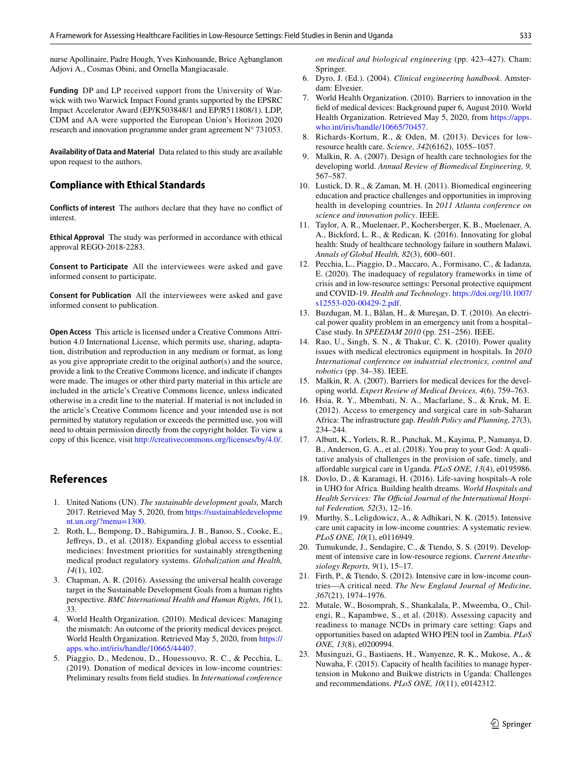nurse Apollinaire, Padre Hough, Yves Kinhouande, Brice Agbanglanon Adjovi A., Cosmas Obini, and Ornella Mangiacasale.

**Funding** DP and LP received support from the University of Warwick with two Warwick Impact Found grants supported by the EPSRC Impact Accelerator Award (EP/K503848/1 and EP/R511808/1). LDP, CDM and AA were supported the European Union's Horizon 2020 research and innovation programme under grant agreement N° 731053.

**Availability of Data and Material** Data related to this study are available upon request to the authors.

### **Compliance with Ethical Standards**

**Conflicts of interest** The authors declare that they have no confict of interest.

**Ethical Approval** The study was performed in accordance with ethical approval REGO-2018-2283.

**Consent to Participate** All the interviewees were asked and gave informed consent to participate.

**Consent for Publication** All the interviewees were asked and gave informed consent to publication.

**Open Access** This article is licensed under a Creative Commons Attribution 4.0 International License, which permits use, sharing, adaptation, distribution and reproduction in any medium or format, as long as you give appropriate credit to the original author(s) and the source, provide a link to the Creative Commons licence, and indicate if changes were made. The images or other third party material in this article are included in the article's Creative Commons licence, unless indicated otherwise in a credit line to the material. If material is not included in the article's Creative Commons licence and your intended use is not permitted by statutory regulation or exceeds the permitted use, you will need to obtain permission directly from the copyright holder. To view a copy of this licence, visit <http://creativecommons.org/licenses/by/4.0/>.

# **References**

- <span id="page-7-0"></span>1. United Nations (UN). *The sustainable development goals,* March 2017. Retrieved May 5, 2020, from [https://sustainabledevelopme](https://sustainabledevelopment.un.org/?menu=1300) [nt.un.org/?menu=1300](https://sustainabledevelopment.un.org/?menu=1300).
- <span id="page-7-1"></span>2. Roth, L., Bempong, D., Babigumira, J. B., Banoo, S., Cooke, E., Jefreys, D., et al. (2018). Expanding global access to essential medicines: Investment priorities for sustainably strengthening medical product regulatory systems. *Globalization and Health, 14*(1), 102.
- <span id="page-7-2"></span>3. Chapman, A. R. (2016). Assessing the universal health coverage target in the Sustainable Development Goals from a human rights perspective. *BMC International Health and Human Rights, 16*(1), 33.
- <span id="page-7-3"></span>4. World Health Organization. (2010). Medical devices: Managing the mismatch: An outcome of the priority medical devices project. World Health Organization. Retrieved May 5, 2020, from [https://](https://apps.who.int/iris/handle/10665/44407) [apps.who.int/iris/handle/10665/44407.](https://apps.who.int/iris/handle/10665/44407)
- <span id="page-7-4"></span>5. Piaggio, D., Medenou, D., Houessouvo, R. C., & Pecchia, L. (2019). Donation of medical devices in low-income countries: Preliminary results from feld studies. In *International conference*

*on medical and biological engineering* (pp. 423–427). Cham: Springer.

- <span id="page-7-5"></span>6. Dyro, J. (Ed.). (2004). *Clinical engineering handbook*. Amsterdam: Elvesier.
- <span id="page-7-6"></span>7. World Health Organization. (2010). Barriers to innovation in the feld of medical devices: Background paper 6, August 2010. World Health Organization. Retrieved May 5, 2020, from [https://apps.](https://apps.who.int/iris/handle/10665/70457) [who.int/iris/handle/10665/70457.](https://apps.who.int/iris/handle/10665/70457)
- <span id="page-7-7"></span>8. Richards-Kortum, R., & Oden, M. (2013). Devices for lowresource health care. *Science, 342*(6162), 1055–1057.
- <span id="page-7-8"></span>9. Malkin, R. A. (2007). Design of health care technologies for the developing world. *Annual Review of Biomedical Engineering, 9,* 567–587.
- <span id="page-7-9"></span>10. Lustick, D. R., & Zaman, M. H. (2011). Biomedical engineering education and practice challenges and opportunities in improving health in developing countries. In *2011 Atlanta conference on science and innovation policy*. IEEE.
- <span id="page-7-10"></span>11. Taylor, A. R., Muelenaer, P., Kochersberger, K. B., Muelenaer, A. A., Bickford, L. R., & Redican, K. (2016). Innovating for global health: Study of healthcare technology failure in southern Malawi. *Annals of Global Health, 82*(3), 600–601.
- <span id="page-7-11"></span>12. Pecchia, L., Piaggio, D., Maccaro, A., Formisano, C., & Iadanza, E. (2020). The inadequacy of regulatory frameworks in time of crisis and in low-resource settings: Personal protective equipment and COVID-19. *Health and Technology*. [https://doi.org/10.1007/](https://doi.org/10.1007/s12553-020-00429-2.pdf) [s12553-020-00429-2.pdf.](https://doi.org/10.1007/s12553-020-00429-2.pdf)
- <span id="page-7-12"></span>13. Buzdugan, M. I., Bălan, H., & Mureşan, D. T. (2010). An electrical power quality problem in an emergency unit from a hospital– Case study. In *SPEEDAM 2010* (pp. 251–256). IEEE.
- <span id="page-7-13"></span>14. Rao, U., Singh, S. N., & Thakur, C. K. (2010). Power quality issues with medical electronics equipment in hospitals. In *2010 International conference on industrial electronics, control and robotics* (pp. 34–38). IEEE.
- <span id="page-7-14"></span>15. Malkin, R. A. (2007). Barriers for medical devices for the developing world. *Expert Review of Medical Devices, 4*(6), 759–763.
- <span id="page-7-15"></span>16. Hsia, R. Y., Mbembati, N. A., Macfarlane, S., & Kruk, M. E. (2012). Access to emergency and surgical care in sub-Saharan Africa: The infrastructure gap. *Health Policy and Planning, 27*(3), 234–244.
- <span id="page-7-17"></span>17. Albutt, K., Yorlets, R. R., Punchak, M., Kayima, P., Namanya, D. B., Anderson, G. A., et al. (2018). You pray to your God: A qualitative analysis of challenges in the provision of safe, timely, and afordable surgical care in Uganda. *PLoS ONE, 13*(4), e0195986.
- <span id="page-7-18"></span>18. Dovlo, D., & Karamagi, H. (2016). Life-saving hospitals-A role in UHO for Africa. Building health dreams. *World Hospitals and*  Health Services: The Official Journal of the International Hospi*tal Federation, 52*(3), 12–16.
- 19. Murthy, S., Leligdowicz, A., & Adhikari, N. K. (2015). Intensive care unit capacity in low-income countries: A systematic review. *PLoS ONE, 10*(1), e0116949.
- 20. Tumukunde, J., Sendagire, C., & Ttendo, S. S. (2019). Development of intensive care in low-resource regions. *Current Anesthesiology Reports, 9*(1), 15–17.
- <span id="page-7-16"></span>21. Firth, P., & Ttendo, S. (2012). Intensive care in low-income countries—A critical need. *The New England Journal of Medicine, 367*(21), 1974–1976.
- <span id="page-7-19"></span>22. Mutale, W., Bosomprah, S., Shankalala, P., Mweemba, O., Chilengi, R., Kapambwe, S., et al. (2018). Assessing capacity and readiness to manage NCDs in primary care setting: Gaps and opportunities based on adapted WHO PEN tool in Zambia. *PLoS ONE, 13*(8), e0200994.
- <span id="page-7-20"></span>23. Musinguzi, G., Bastiaens, H., Wanyenze, R. K., Mukose, A., & Nuwaha, F. (2015). Capacity of health facilities to manage hypertension in Mukono and Buikwe districts in Uganda: Challenges and recommendations. *PLoS ONE, 10*(11), e0142312.